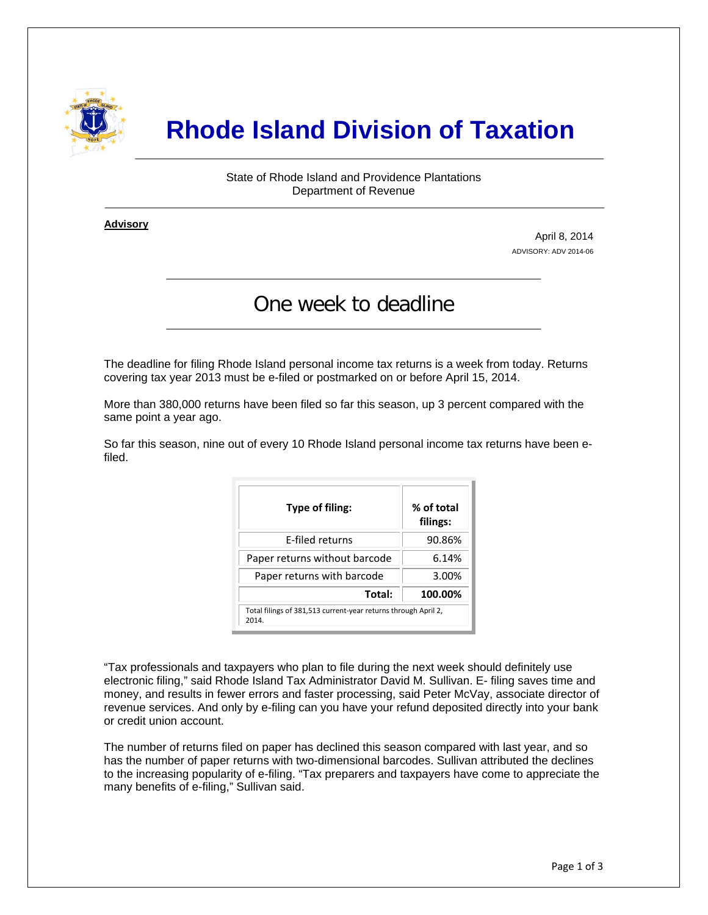

# **Rhode Island Division of Taxation**

State of Rhode Island and Providence Plantations Department of Revenue

**Advisory** ٦

i

April 8, 2014 ADVISORY: ADV 2014-06

## One week to deadline

The deadline for filing Rhode Island personal income tax returns is a week from today. Returns covering tax year 2013 must be e-filed or postmarked on or before April 15, 2014.

More than 380,000 returns have been filed so far this season, up 3 percent compared with the same point a year ago.

So far this season, nine out of every 10 Rhode Island personal income tax returns have been efiled.

| Type of filing:                                                         | % of total<br>filings: |  |
|-------------------------------------------------------------------------|------------------------|--|
| <b>F-filed returns</b>                                                  | 90.86%                 |  |
| Paper returns without barcode                                           | 6.14%                  |  |
| Paper returns with barcode                                              | 3.00%                  |  |
| Total:                                                                  | 100.00%                |  |
| Total filings of 381,513 current-year returns through April 2,<br>2014. |                        |  |

"Tax professionals and taxpayers who plan to file during the next week should definitely use electronic filing," said Rhode Island Tax Administrator David M. Sullivan. E- filing saves time and money, and results in fewer errors and faster processing, said Peter McVay, associate director of revenue services. And only by e-filing can you have your refund deposited directly into your bank or credit union account.

The number of returns filed on paper has declined this season compared with last year, and so has the number of paper returns with two-dimensional barcodes. Sullivan attributed the declines to the increasing popularity of e-filing. "Tax preparers and taxpayers have come to appreciate the many benefits of e-filing," Sullivan said.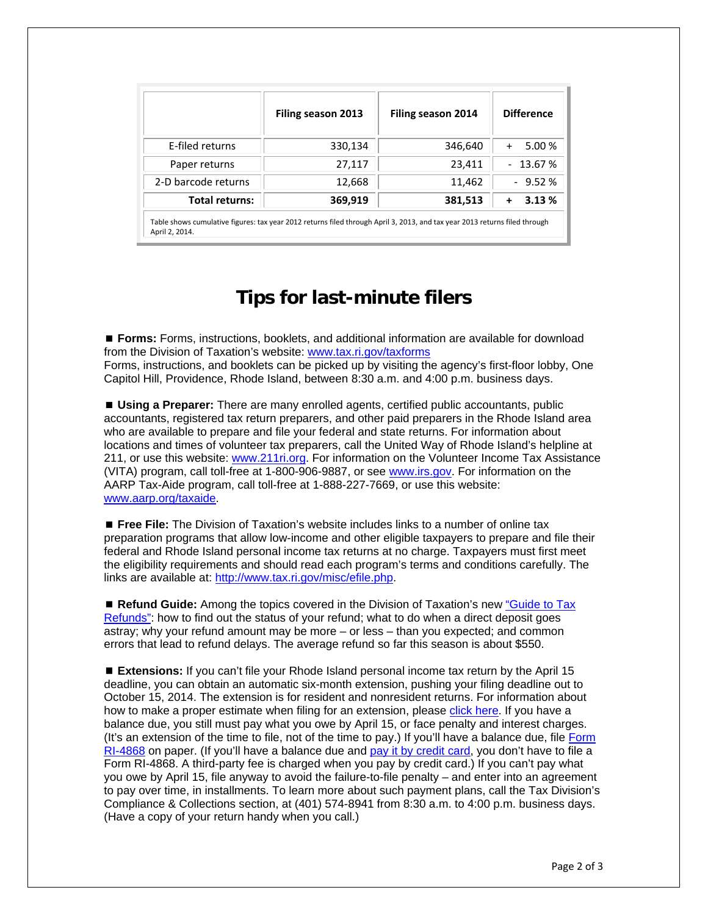|                       | Filing season 2013                                                                                                         | Filing season 2014 | <b>Difference</b>  |
|-----------------------|----------------------------------------------------------------------------------------------------------------------------|--------------------|--------------------|
| E-filed returns       | 330,134                                                                                                                    | 346,640            | 5.00 %<br>$+$      |
| Paper returns         | 27,117                                                                                                                     | 23,411             | $-13.67%$          |
| 2-D barcode returns   | 12,668                                                                                                                     | 11,462             | $-9.52%$           |
| <b>Total returns:</b> | 369,919                                                                                                                    | 381,513            | 3.13%<br>$\ddot{}$ |
| April 2. 2014.        | Table shows cumulative figures: tax year 2012 returns filed through April 3, 2013, and tax year 2013 returns filed through |                    |                    |

### **Tips for last-minute filers**

 **Forms:** Forms, instructions, booklets, and additional information are available for download from the Division of Taxation's website: [www.tax.ri.gov/taxforms](http://www.tax.ri.gov/taxforms/) Forms, instructions, and booklets can be picked up by visiting the agency's first-floor lobby, One Capitol Hill, Providence, Rhode Island, between 8:30 a.m. and 4:00 p.m. business days.

 **Using a Preparer:** There are many enrolled agents, certified public accountants, public accountants, registered tax return preparers, and other paid preparers in the Rhode Island area who are available to prepare and file your federal and state returns. For information about locations and times of volunteer tax preparers, call the United Way of Rhode Island's helpline at 211, or use this website: [www.211ri.org.](http://www.211ri.org/) For information on the Volunteer Income Tax Assistance (VITA) program, call toll-free at 1-800-906-9887, or see [www.irs.gov.](http://www.irs.gov/) For information on the AARP Tax-Aide program, call toll-free at 1-888-227-7669, or use this website: [www.aarp.org/taxaide.](http://www.aarp.org/taxaide)

 **Free File:** The Division of Taxation's website includes links to a number of online tax preparation programs that allow low-income and other eligible taxpayers to prepare and file their federal and Rhode Island personal income tax returns at no charge. Taxpayers must first meet the eligibility requirements and should read each program's terms and conditions carefully. The links are available at:<http://www.tax.ri.gov/misc/efile.php>.

 **Refund Guide:** Among the topics covered in the Division of Taxation's new ["Guide to Tax](http://www.tax.ri.gov/Tax%20Website/TAX/notice/Guide%20to%20Tax%20Refunds.pdf)  [Refunds":](http://www.tax.ri.gov/Tax%20Website/TAX/notice/Guide%20to%20Tax%20Refunds.pdf) how to find out the status of your refund; what to do when a direct deposit goes astray; why your refund amount may be more – or less – than you expected; and common errors that lead to refund delays. The average refund so far this season is about \$550.

■ **Extensions:** If you can't file your Rhode Island personal income tax return by the April 15 deadline, you can obtain an automatic six-month extension, pushing your filing deadline out to October 15, 2014. The extension is for resident and nonresident returns. For information about how to make a proper estimate when filing for an extension, please [click here](http://www.tax.ri.gov/newsletter/Rhode%20Island%20Division%20of%20Taxation%20newsletter%20-%202nd%20Q%202013.pdf). If you have a balance due, you still must pay what you owe by April 15, or face penalty and interest charges. (It's an extension of the time to file, not of the time to pay.) If you'll have a balance due, file [Form](http://www.tax.ri.gov/forms/2013/Income/2013%20RI-4868_1.pdf)  [RI-4868](http://www.tax.ri.gov/forms/2013/Income/2013%20RI-4868_1.pdf) on paper. (If you'll have a balance due and [pay it by credit card,](http://www.tax.ri.gov/misc/creditcard.php) you don't have to file a Form RI-4868. A third-party fee is charged when you pay by credit card.) If you can't pay what you owe by April 15, file anyway to avoid the failure-to-file penalty – and enter into an agreement to pay over time, in installments. To learn more about such payment plans, call the Tax Division's Compliance & Collections section, at (401) 574-8941 from 8:30 a.m. to 4:00 p.m. business days. (Have a copy of your return handy when you call.)